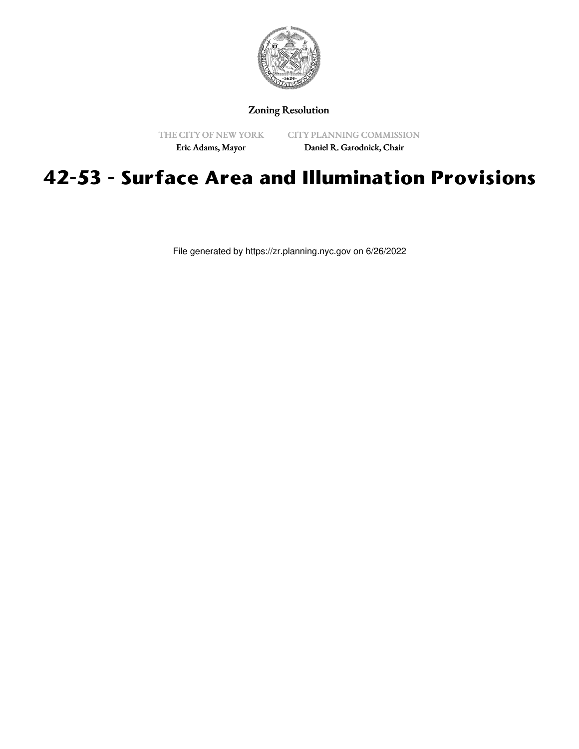

# Zoning Resolution

THE CITY OF NEW YORK Eric Adams, Mayor

CITY PLANNING COMMISSION Daniel R. Garodnick, Chair

# **42-53 - Surface Area and Illumination Provisions**

File generated by https://zr.planning.nyc.gov on 6/26/2022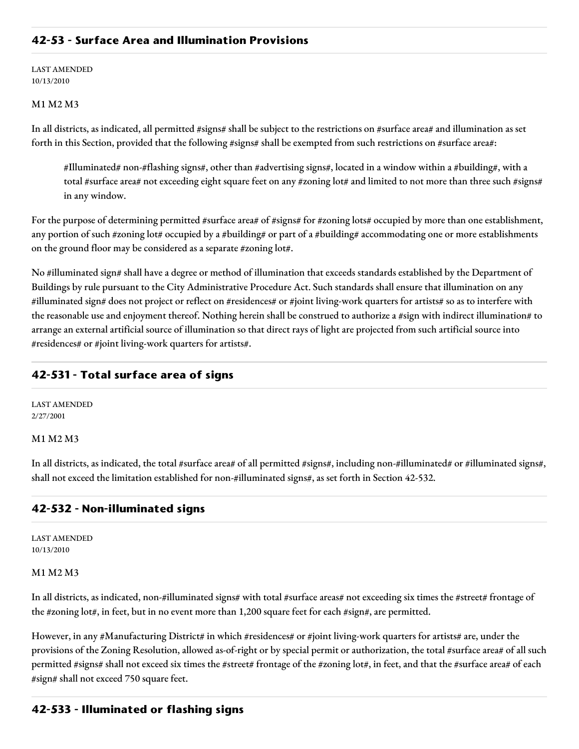# **42-53 - Surface Area and Illumination Provisions**

LAST AMENDED 10/13/2010

## M1 M2 M3

In all districts, as indicated, all permitted #signs# shall be subject to the restrictions on #surface area# and illumination as set forth in this Section, provided that the following #signs# shall be exempted from such restrictions on #surface area#:

#Illuminated# non-#flashing signs#, other than #advertising signs#, located in a window within a #building#, with a total #surface area# not exceeding eight square feet on any #zoning lot# and limited to not more than three such #signs# in any window.

For the purpose of determining permitted #surface area# of #signs# for #zoning lots# occupied by more than one establishment, any portion of such #zoning lot# occupied by a #building# or part of a #building# accommodating one or more establishments on the ground floor may be considered as a separate #zoning lot#.

No #illuminated sign# shall have a degree or method of illumination that exceeds standards established by the Department of Buildings by rule pursuant to the City Administrative Procedure Act. Such standards shall ensure that illumination on any #illuminated sign# does not project or reflect on #residences# or #joint living-work quarters for artists# so as to interfere with the reasonable use and enjoyment thereof. Nothing herein shall be construed to authorize a #sign with indirect illumination# to arrange an external artificial source of illumination so that direct rays of light are projected from such artificial source into #residences# or #joint living-work quarters for artists#.

# **42-531 - Total surface area of signs**

LAST AMENDED 2/27/2001

#### M1 M2 M3

In all districts, as indicated, the total #surface area# of all permitted #signs#, including non-#illuminated# or #illuminated signs#, shall not exceed the limitation established for non-#illuminated signs#, as set forth in Section 42-532.

## **42-532 - Non-illuminated signs**

LAST AMENDED 10/13/2010

#### M1 M2 M3

In all districts, as indicated, non-#illuminated signs# with total #surface areas# not exceeding six times the #street# frontage of the #zoning lot#, in feet, but in no event more than 1,200 square feet for each #sign#, are permitted.

However, in any #Manufacturing District# in which #residences# or #joint living-work quarters for artists# are, under the provisions of the Zoning Resolution, allowed as-of-right or by special permit or authorization, the total #surface area# of all such permitted #signs# shall not exceed six times the #street# frontage of the #zoning lot#, in feet, and that the #surface area# of each #sign# shall not exceed 750 square feet.